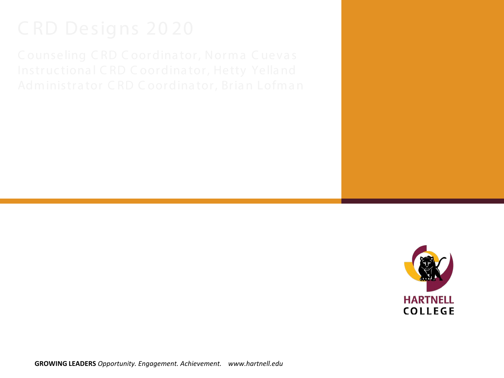

**GROWING LEADERS** *Opportunity. Engagement. Achievement. www.hartnell.edu*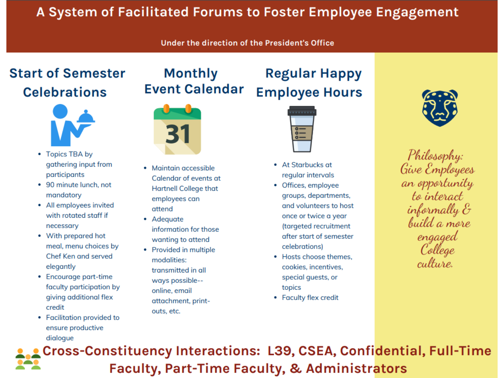# A System of Facilitated Forums to Foster Employee Engagement

## Under the direction of the President's Office

## **Start of Semester Celebrations**



- Topics TBA by gathering input from participants
- 90 minute lunch, not mandatory
- All employees invited with rotated staff if necessary
- With prepared hot meal, menu choices by Chef Ken and served elegantly
- Encourage part-time faculty participation by giving additional flex credit
- Facilitation provided to ensure productive dialogue

# **Monthly Event Calendar**



- Maintain accessible Calendar of events at **Hartnell College that** employees can attend
- Adeauate information for those wanting to attend
- Provided in multiple modalities: transmitted in all ways possible-online, email attachment, printouts, etc.



**Regular Happy** 

**Employee Hours** 

- At Starbucks at regular intervals
- Offices, employee groups, departments, and volunteers to host once or twice a year (targeted recruitment after start of semester celebrations)
- Hosts choose themes. cookies, incentives, special guests, or topics
- Faculty flex credit



Philosophy:<br>Give Employees an opportunity to interact informally  $\mathcal E$ build a more engaged College culture

Cross-Constituency Interactions: L39, CSEA, Confidential, Full-Time **Faculty, Part-Time Faculty, & Administrators**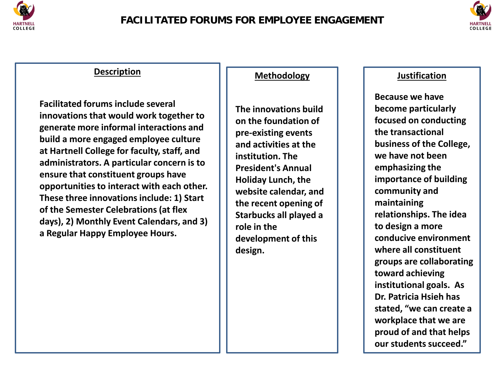



**Facilitated forums include several innovations that would work together to generate more informal interactions and build a more engaged employee culture at Hartnell College for faculty, staff, and administrators. A particular concern is to ensure that constituent groups have opportunities to interact with each other. These three innovations include: 1) Start of the Semester Celebrations (at flex days), 2) Monthly Event Calendars, and 3) a Regular Happy Employee Hours.** 

## **Methodology**

**The innovations build on the foundation of pre-existing events and activities at the institution. The President's Annual Holiday Lunch, the website calendar, and the recent opening of Starbucks all played a role in the development of this design.**

## **Justification**

**Because we have become particularly focused on conducting the transactional business of the College, we have not been emphasizing the importance of building community and maintaining relationships. The idea to design a more conducive environment where all constituent groups are collaborating toward achieving institutional goals. As Dr. Patricia Hsieh has stated, "we can create a workplace that we are proud of and that helps our students succeed."**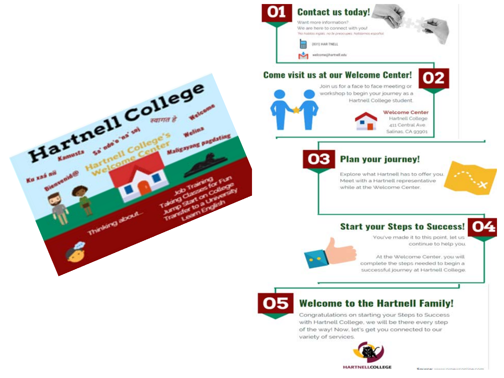

## **Come visit us at our Welcome Center!**



Join us for a face to face meeting or workshop to begin your journey as a Hartnell College student.



## **Plan your journey!**

Explore what Hartnell has to offer you. Meet with a Hartnell representative while at the Welcome Center.



## **Start your Steps to Success!**

You've made it to this point, let us continue to help you.

Service money department of the com-

02

At the Welcome Center, you will complete the steps needed to begin a successful journey at Hartnell College.



## **Welcome to the Hartnell Family!**

Congratulations on starting your Steps to Success with Hartnell College, we will be there every step of the way! Now, let's get you connected to our variety of services.

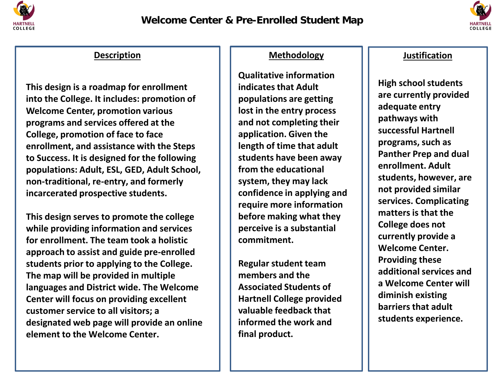



Description

**This design is a roadmap for enrollment into the College. It includes: promotion of Welcome Center, promotion various programs and services offered at the College, promotion of face to face enrollment, and assistance with the Steps to Success. It is designed for the following populations: Adult, ESL, GED, Adult School, non-traditional, re-entry, and formerly incarcerated prospective students.** 

designated web page will provide an online **This design serves to promote the college while providing information and services for enrollment. The team took a holistic approach to assist and guide pre-enrolled students prior to applying to the College. The map will be provided in multiple languages and District wide. The Welcome Center will focus on providing excellent customer service to all visitors; a element to the Welcome Center.** 

## **Methodology**

**Qualitative information indicates that Adult populations are getting lost in the entry process and not completing their application. Given the length of time that adult students have been away from the educational system, they may lack confidence in applying and require more information before making what they perceive is a substantial commitment.** 

**Regular student team members and the Associated Students of Hartnell College provided valuable feedback that informed the work and final product.**

## **Justification**

**High school students are currently provided adequate entry pathways with successful Hartnell programs, such as Panther Prep and dual enrollment. Adult students, however, are not provided similar services. Complicating matters is that the College does not currently provide a Welcome Center. Providing these additional services and a Welcome Center will diminish existing barriers that adult students experience.**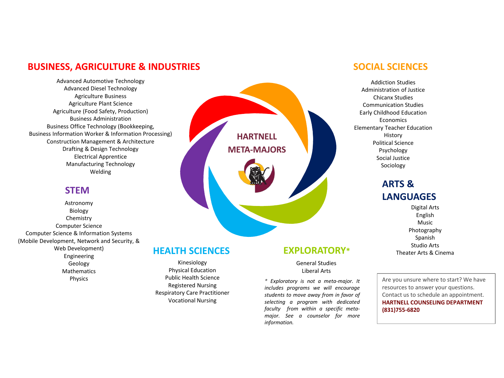## **BUSINESS, AGRICULTURE & INDUSTRIES**

Advanced Automotive Technology Advanced Diesel Technology Agriculture Business Agriculture Plant Science Agriculture (Food Safety, Production) Business Administration Business Office Technology (Bookkeeping, Business Information Worker & Information Processing) Construction Management & Architecture Drafting & Design Technology Electrical Apprentice Manufacturing Technology Welding

## **STEM**

Astronomy Biology Chemistry Computer Science Computer Science & Information Systems (Mobile Development, Network and Security, & Web Development) Engineering Geology **Mathematics** Physics

# **HARTNELL META-MAJORS**

## **HEALTH SCIENCES**

Kinesiology Physical Education Public Health Science Registered Nursing Respiratory Care Practitioner Vocational Nursing

## **SOCIAL SCIENCES**

Addiction Studies Administration of Justice Chicanx Studies Communication Studies Early Childhood Education Economics Elementary Teacher Education History Political Science Psychology Social Justice Sociology

## **ARTS & LANGUAGES**

Digital Arts English Music Photography Spanish Studio Arts Theater Arts & Cinema

## **EXPLORATORY\***

### General Studies Liberal Arts

*\* Exploratory is not a meta-major. It includes programs we will encourage students to move away from in favor of selecting a program with dedicated faculty from within a specific metamajor. See a counselor for more information.*

Are you unsure where to start? We have resources to answer your questions. Contact us to schedule an appointment. **HARTNELL COUNSELING DEPARTMENT (831)755-6820**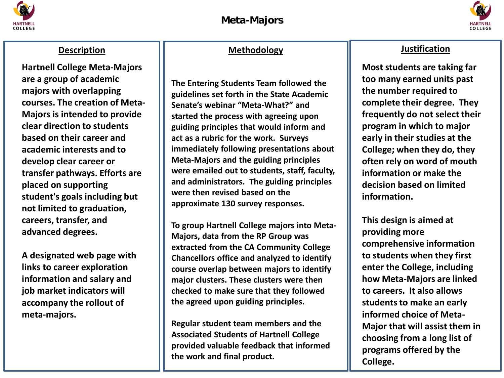



**Hartnell College Meta-Majors are a group of academic majors with overlapping courses. The creation of Meta-Majors is intended to provide clear direction to students based on their career and academic interests and to develop clear career or transfer pathways. Efforts are placed on supporting student's goals including but not limited to graduation, careers, transfer, and advanced degrees.** 

meta-majors. **A designated web page with links to career exploration information and salary and job market indicators will accompany the rollout of** 

## **Methodology Description Intervalse Methodology**

**The Entering Students Team followed the guidelines set forth in the State Academic Senate's webinar "Meta-What?" and started the process with agreeing upon guiding principles that would inform and act as a rubric for the work. Surveys immediately following presentations about Meta-Majors and the guiding principles were emailed out to students, staff, faculty, and administrators. The guiding principles were then revised based on the approximate 130 survey responses.** 

**To group Hartnell College majors into Meta-Majors, data from the RP Group was extracted from the CA Community College Chancellors office and analyzed to identify course overlap between majors to identify major clusters. These clusters were then checked to make sure that they followed the agreed upon guiding principles.** 

**Regular student team members and the Associated Students of Hartnell College provided valuable feedback that informed the work and final product.**

**Most students are taking far too many earned units past the number required to complete their degree. They frequently do not select their program in which to major early in their studies at the College; when they do, they often rely on word of mouth information or make the decision based on limited information.** 

**This design is aimed at providing more comprehensive information to students when they first enter the College, including how Meta-Majors are linked to careers. It also allows students to make an early informed choice of Meta-Major that will assist them in choosing from a long list of programs offered by the College.**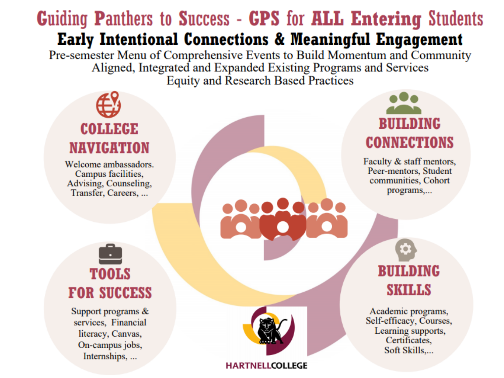# **Guiding Panthers to Success - GPS for ALL Entering Students** Early Intentional Connections & Meaningful Engagement

Pre-semester Menu of Comprehensive Events to Build Momentum and Community Aligned, Integrated and Expanded Existing Programs and Services **Equity and Research Based Practices** 

## **BUILDING COLLEGE CONNECTIONS** NAVIGATION Faculty & staff mentors, Welcome ambassadors. Peer-mentors, Student Campus facilities, communities, Cohort Advising, Counseling, programs,... Transfer, Careers, ... **BUILDING TOOLS SKILLS FOR SUCCESS** Support programs & Academic programs, Self-efficacy, Courses, services, Financial Learning supports, literacy, Canvas, Certificates, On-campus jobs, Soft Skills,...

**HARTNELLCOLLEGE** 

Internships, ...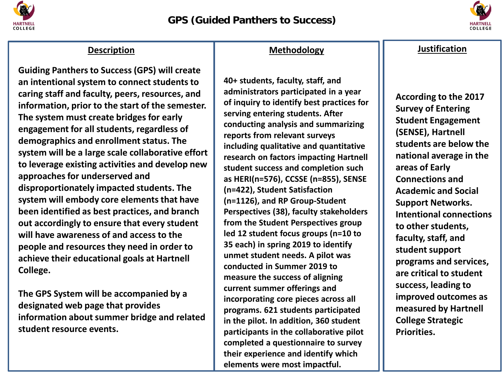



**Guiding Panthers to Success (GPS) will create an intentional system to connect students to caring staff and faculty, peers, resources, and information, prior to the start of the semester. The system must create bridges for early engagement for all students, regardless of demographics and enrollment status. The system will be a large scale collaborative effort to leverage existing activities and develop new approaches for underserved and disproportionately impacted students. The system will embody core elements that have been identified as best practices, and branch out accordingly to ensure that every student will have awareness of and access to the people and resources they need in order to achieve their educational goals at Hartnell College.** 

information about summer bridge and related **The GPS System will be accompanied by a designated web page that provides student resource events.**

## **Methodology** Description **Justification**

**40+ students, faculty, staff, and administrators participated in a year of inquiry to identify best practices for serving entering students. After conducting analysis and summarizing reports from relevant surveys including qualitative and quantitative research on factors impacting Hartnell student success and completion such as HERI(n=576), CCSSE (n=855), SENSE (n=422), Student Satisfaction (n=1126), and RP Group-Student Perspectives (38), faculty stakeholders from the Student Perspectives group led 12 student focus groups (n=10 to 35 each) in spring 2019 to identify unmet student needs. A pilot was conducted in Summer 2019 to measure the success of aligning current summer offerings and incorporating core pieces across all programs. 621 students participated in the pilot. In addition, 360 student participants in the collaborative pilot completed a questionnaire to survey their experience and identify which elements were most impactful.** 

**According to the 2017 Survey of Entering Student Engagement (SENSE), Hartnell students are below the national average in the areas of Early Connections and Academic and Social Support Networks. Intentional connections to other students, faculty, staff, and student support programs and services, are critical to student success, leading to improved outcomes as measured by Hartnell College Strategic Priorities.**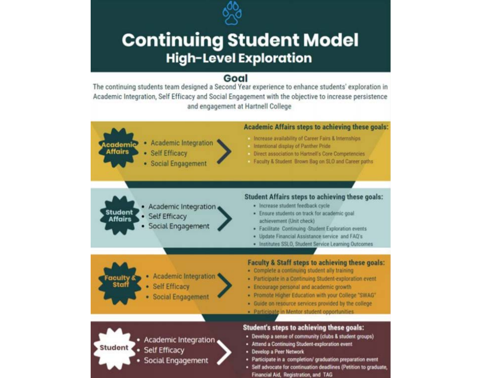

# **Continuing Student Model High-Level Exploration**

## Goal

The continuing students team designed a Second Year experience to enhance students' exploration in Academic Integration, Self Efficacy and Social Engagement with the objective to increase persistence and engagement at Hartnell College

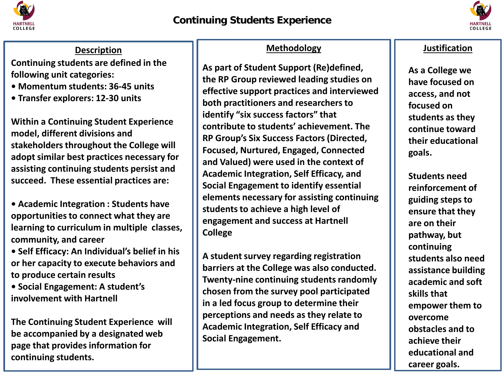



**Continuing students are defined in the following unit categories:** 

- **Momentum students: 36-45 units**
- **Transfer explorers: 12-30 units**

**Within a Continuing Student Experience model, different divisions and stakeholders throughout the College will adopt similar best practices necessary for assisting continuing students persist and succeed. These essential practices are:**

**• Academic Integration : Students have opportunities to connect what they are learning to curriculum in multiple classes, community, and career**

**• Self Efficacy: An Individual's belief in his or her capacity to execute behaviors and to produce certain results** 

**• Social Engagement: A student's involvement with Hartnell** 

**The Continuing Student Experience will be accompanied by a designated web page that provides information for continuing students.** 

## **Methodology Contracts Justification**

**As part of Student Support (Re)defined, the RP Group reviewed leading studies on effective support practices and interviewed both practitioners and researchers to identify "six success factors" that contribute to students' achievement. The RP Group's Six Success Factors (Directed, Focused, Nurtured, Engaged, Connected and Valued) were used in the context of Academic Integration, Self Efficacy, and Social Engagement to identify essential elements necessary for assisting continuing students to achieve a high level of engagement and success at Hartnell College**

**A student survey regarding registration barriers at the College was also conducted. Twenty-nine continuing students randomly chosen from the survey pool participated in a led focus group to determine their perceptions and needs as they relate to Academic Integration, Self Efficacy and Social Engagement.**

**As a College we have focused on access, and not focused on students as they continue toward their educational goals.**

**Students need reinforcement of guiding steps to ensure that they are on their pathway, but continuing students also need assistance building academic and soft skills that empower them to overcome obstacles and to achieve their educational and career goals.**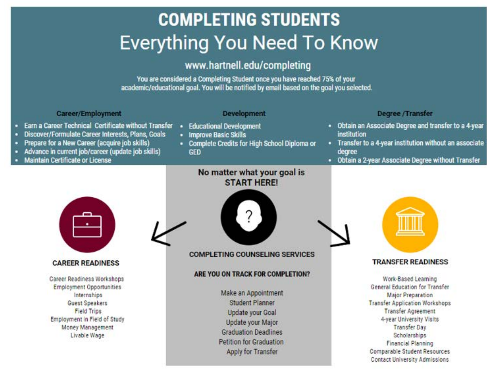# **COMPLETING STUDENTS Everything You Need To Know**

## www.hartnell.edu/completing

You are considered a Completing Student once you have reached 75% of your academic/educational goal. You will be notified by email based on the goal you selected.

## **Career/Employment**

Prepare for a New Career (acquire job skills)

**Maintain Certificate or License** 

٠

٠

۰

Earn a Career Technical Certificate without Transfer

Discover/Formulate Career Interests, Plans, Goals

Advance in current job/career (update job skills)

## **Development**

- · Educational Development
- · Improve Basic Skills
- Complete Credits for High School Diploma or **GED**

## **Degree/Transfer**

- . Obtain an Associate Degree and transfer to a 4-year institution
- Transfer to a 4-year institution without an associate degree
- . Obtain a 2-year Associate Degree without Transfer



## **CAREER READINESS**

Career Readiness Workshops **Employment Opportunities** Internships Guest Speakers **Field Trips** Employment in Field of Study Money Management Livable Wage

## No matter what your goal is **START HERE!**



**COMPLETING COUNSELING SERVICES** 

## ARE YOU ON TRACK FOR COMPLETION?

Make an Appointment **Student Planner Update your Goal** Update your Major **Graduation Deadlines Petition for Graduation** Apply for Transfer



## **TRANSFER READINESS**

Work-Based Learning **General Education for Transfer Major Preparation Transfer Application Workshops Transfer Agreement** 4-year University Visits **Transfer Day** Scholarships Financial Planning **Comparable Student Resources Contact University Admissions**